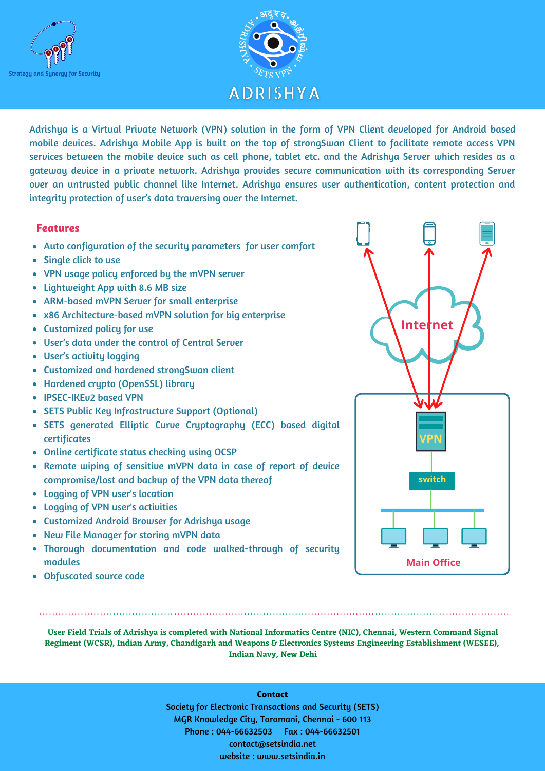



Adrishya is a Virtual Private Network (VPN) solution in the form of VPN Client developed for Android based mobile devices. Adrishya Mobile App is built on the top of strongSwan Client to facilitate remote access VPN services between the mobile device such as cell phone, tablet etc. and the Adrishya Server which resides as a gateway device in a private network. Adrishya provides secure communication with its corresponding Server over an untrusted public channel like Internet. Adrishya ensures user authentication, content protection and integrity protection of user's data traversing over the Internet.

## **Features**

- Auto configuration of the security parameters for user comfort
- Single click to use
- VPN usage policy enforced by the mVPN server
- Lightweight App with 8.6 MB size
- ARM-based mVPN Server for small enterprise
- x86 Architecture-based mVPN solution for big enterprise
- Customized policy for use
- User's data under the control of Central Server
- User's activity logging
- Customized and hardened strongSwan client
- Hardened crypto (OpenSSL) library
- IPSEC-IKEv2 based VPN
- SETS Public Key Infrastructure Support (Optional)
- SETS generated Elliptic Curve Cryptography (ECC) based digital certificates
- Online certificate status checking using OCSP
- Remote wiping of sensitive mVPN data in case of report of device compromise/lost and backup of the VPN data thereof
- Logging of VPN user's location
- Logging of VPN user's activities
- Customized Android Browser for Adrishya usage
- New File Manager for storing mVPN data
- Thorough documentation and code walked-through of security modules
- Obfuscated source code

User Field Trials of Adrishya is completed with National Informatics Centre (NIC), Chennai, Western Command Signal **Regiment (WCSR), Indian Army, Chandigarh and Weapons & Electronics Systems Engineering Establishment (WESEE), Indian Navy, New Dehi**

## **Contact**

Society for Electronic Transactions and Security (SETS) MGR Knowledge City, Taramani, Chennai - 600 113 Phone : 044-66632503 Fax : 044-66632501 contact@setsindia.net website : www.setsindia.in